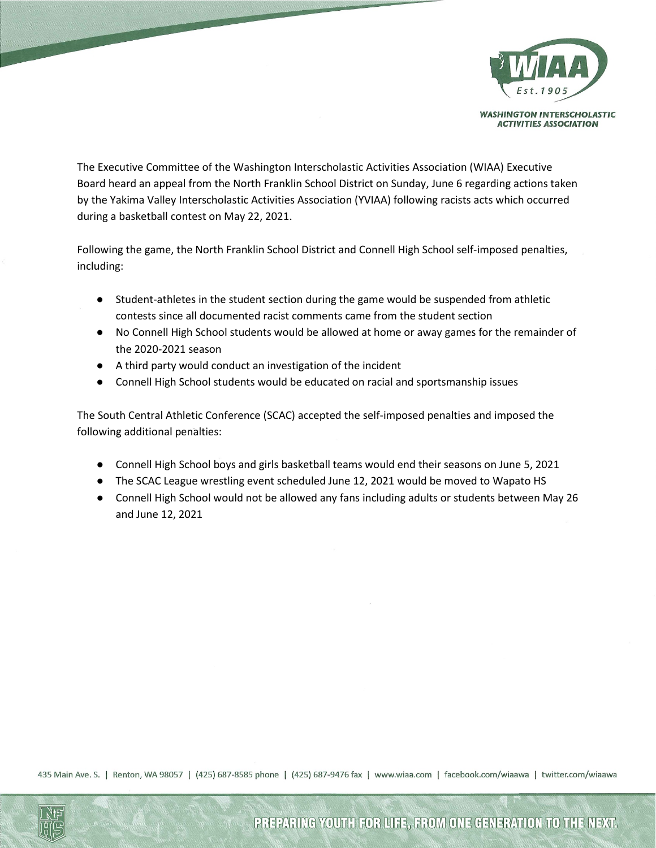

**WASHINGTON INTERSCHOLASTIC ACTIVITIES ASSOCIATION** 

The Executive Committee of the Washington Interscholastic Activities Association (WIAA) Executive Board heard an appeal from the North Franklin School District on Sunday, June 6 regarding actions taken by the Yakima Valley Interscholastic Activities Association (YVIAA) following racists acts which occurred during a basketball contest on May 22, 2021.

Following the game, the North Franklin School District and Connell High School self-imposed penalties, including:

- Student-athletes in the student section during the game would be suspended from athletic contests since all documented racist comments came from the student section
- No Connell High School students would be allowed at home or away games for the remainder of the 2020-2021 season
- A third party would conduct an investigation of the incident
- Connell High School students would be educated on racial and sportsmanship issues

The South Central Athletic Conference (SCAC) accepted the self-imposed penalties and imposed the following additional penalties:

- Connell High School boys and girls basketball teams would end their seasons on June 5, 2021
- The SCAC League wrestling event scheduled June 12, 2021 would be moved to Wapato HS
- Connell High School would not be allowed any fans including adults or students between May 26 and June 12, 2021

435 Main Ave. S. | Renton, WA 98057 | (425) 687-8585 phone | (425) 687-9476 fax | www.wiaa.com | facebook.com/wiaawa | twitter.com/wiaawa